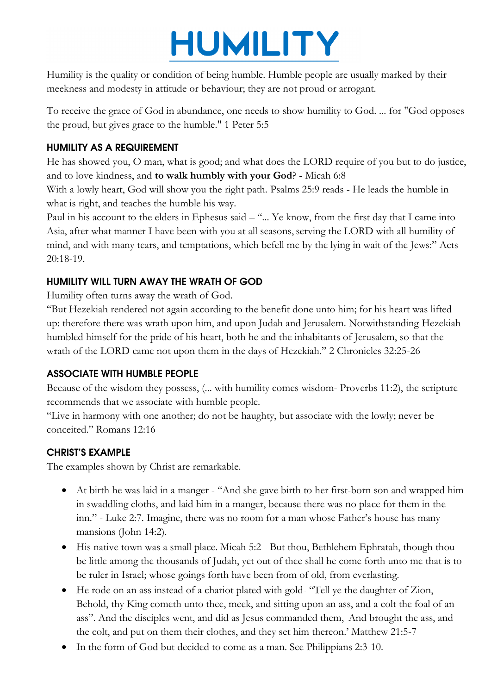# HUMILITY

Humility is the quality or condition of being humble. Humble people are usually marked by their meekness and modesty in attitude or behaviour; they are not proud or arrogant.

To receive the grace of God in abundance, one needs to show humility to God. ... for "God opposes the proud, but gives grace to the humble." 1 Peter 5:5

## HUMILITY AS A REQUIREMENT

He has showed you, O man, what is good; and what does the LORD require of you but to do justice, and to love kindness, and **to walk humbly with your God**? - Micah 6:8

With a lowly heart, God will show you the right path. Psalms 25:9 reads - He leads the humble in what is right, and teaches the humble his way.

Paul in his account to the elders in Ephesus said – "... Ye know, from the first day that I came into Asia, after what manner I have been with you at all seasons, serving the LORD with all humility of mind, and with many tears, and temptations, which befell me by the lying in wait of the Jews:" Acts  $20:18-19$ .

## HUMILITY WILL TURN AWAY THE WRATH OF GOD

Humility often turns away the wrath of God.

"But Hezekiah rendered not again according to the benefit done unto him; for his heart was lifted up: therefore there was wrath upon him, and upon Judah and Jerusalem. Notwithstanding Hezekiah humbled himself for the pride of his heart, both he and the inhabitants of Jerusalem, so that the wrath of the LORD came not upon them in the days of Hezekiah." 2 Chronicles 32:25-26

# ASSOCIATE WITH HUMBLE PEOPLE

Because of the wisdom they possess, (... with humility comes wisdom- Proverbs 11:2), the scripture recommends that we associate with humble people.

"Live in harmony with one another; do not be haughty, but associate with the lowly; never be conceited." Romans 12:16

#### CHRIST'S EXAMPLE

The examples shown by Christ are remarkable.

- At birth he was laid in a manger "And she gave birth to her first-born son and wrapped him in swaddling cloths, and laid him in a manger, because there was no place for them in the inn." - Luke 2:7. Imagine, there was no room for a man whose Father"s house has many mansions (John 14:2).
- His native town was a small place. Micah 5:2 But thou, Bethlehem Ephratah, though thou be little among the thousands of Judah, yet out of thee shall he come forth unto me that is to be ruler in Israel; whose goings forth have been from of old, from everlasting.
- He rode on an ass instead of a chariot plated with gold- "Tell ye the daughter of Zion, Behold, thy King cometh unto thee, meek, and sitting upon an ass, and a colt the foal of an ass". And the disciples went, and did as Jesus commanded them, And brought the ass, and the colt, and put on them their clothes, and they set him thereon." Matthew 21:5-7
- In the form of God but decided to come as a man. See Philippians 2:3-10.